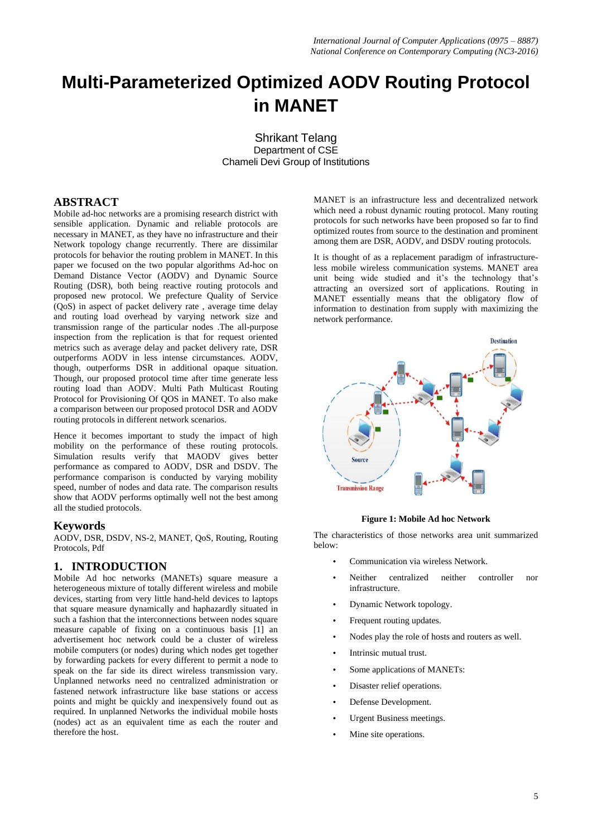# **Multi-Parameterized Optimized AODV Routing Protocol in MANET**

Shrikant Telang Department of CSE Chameli Devi Group of Institutions

# **ABSTRACT**

Mobile ad-hoc networks are a promising research district with sensible application. Dynamic and reliable protocols are necessary in MANET, as they have no infrastructure and their Network topology change recurrently. There are dissimilar protocols for behavior the routing problem in MANET. In this paper we focused on the two popular algorithms Ad-hoc on Demand Distance Vector (AODV) and Dynamic Source Routing (DSR), both being reactive routing protocols and proposed new protocol. We prefecture Quality of Service (QoS) in aspect of packet delivery rate , average time delay and routing load overhead by varying network size and transmission range of the particular nodes .The all-purpose inspection from the replication is that for request oriented metrics such as average delay and packet delivery rate, DSR outperforms AODV in less intense circumstances. AODV, though, outperforms DSR in additional opaque situation. Though, our proposed protocol time after time generate less routing load than AODV. Multi Path Multicast Routing Protocol for Provisioning Of QOS in MANET. To also make a comparison between our proposed protocol DSR and AODV routing protocols in different network scenarios.

Hence it becomes important to study the impact of high mobility on the performance of these routing protocols. Simulation results verify that MAODV gives better performance as compared to AODV, DSR and DSDV. The performance comparison is conducted by varying mobility speed, number of nodes and data rate. The comparison results show that AODV performs optimally well not the best among all the studied protocols.

## **Keywords**

AODV, DSR, DSDV, NS-2, MANET, QoS, Routing, Routing Protocols, Pdf

# **1. INTRODUCTION**

Mobile Ad hoc networks (MANETs) square measure a heterogeneous mixture of totally different wireless and mobile devices, starting from very little hand-held devices to laptops that square measure dynamically and haphazardly situated in such a fashion that the interconnections between nodes square measure capable of fixing on a continuous basis [1] an advertisement hoc network could be a cluster of wireless mobile computers (or nodes) during which nodes get together by forwarding packets for every different to permit a node to speak on the far side its direct wireless transmission vary. Unplanned networks need no centralized administration or fastened network infrastructure like base stations or access points and might be quickly and inexpensively found out as required. In unplanned Networks the individual mobile hosts (nodes) act as an equivalent time as each the router and therefore the host.

MANET is an infrastructure less and decentralized network which need a robust dynamic routing protocol. Many routing protocols for such networks have been proposed so far to find optimized routes from source to the destination and prominent among them are DSR, AODV, and DSDV routing protocols.

It is thought of as a replacement paradigm of infrastructureless mobile wireless communication systems. MANET area unit being wide studied and it's the technology that's attracting an oversized sort of applications. Routing in MANET essentially means that the obligatory flow of information to destination from supply with maximizing the network performance.



**Figure 1: Mobile Ad hoc Network**

The characteristics of those networks area unit summarized below:

- Communication via wireless Network.
- Neither centralized neither controller nor infrastructure.
- Dynamic Network topology.
- Frequent routing updates.
- Nodes play the role of hosts and routers as well.
- Intrinsic mutual trust.
- Some applications of MANETs:
- Disaster relief operations.
- Defense Development.
- Urgent Business meetings.
- Mine site operations.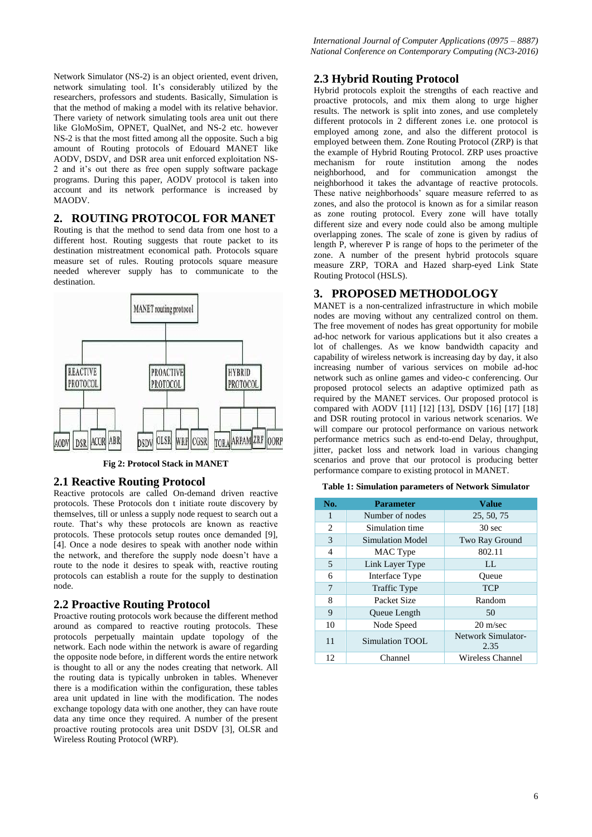Network Simulator (NS-2) is an object oriented, event driven, network simulating tool. It"s considerably utilized by the researchers, professors and students. Basically, Simulation is that the method of making a model with its relative behavior. There variety of network simulating tools area unit out there like GloMoSim, OPNET, QualNet, and NS-2 etc. however NS-2 is that the most fitted among all the opposite. Such a big amount of Routing protocols of Edouard MANET like AODV, DSDV, and DSR area unit enforced exploitation NS-2 and it"s out there as free open supply software package programs. During this paper, AODV protocol is taken into account and its network performance is increased by MAODV.

## **2. ROUTING PROTOCOL FOR MANET**

Routing is that the method to send data from one host to a different host. Routing suggests that route packet to its destination mistreatment economical path. Protocols square measure set of rules. Routing protocols square measure needed wherever supply has to communicate to the destination.



**Fig 2: Protocol Stack in MANET**

## **2.1 Reactive Routing Protocol**

Reactive protocols are called On-demand driven reactive protocols. These Protocols don t initiate route discovery by themselves, till or unless a supply node request to search out a route. That"s why these protocols are known as reactive protocols. These protocols setup routes once demanded [9], [4]. Once a node desires to speak with another node within the network, and therefore the supply node doesn"t have a route to the node it desires to speak with, reactive routing protocols can establish a route for the supply to destination node.

## **2.2 Proactive Routing Protocol**

Proactive routing protocols work because the different method around as compared to reactive routing protocols. These protocols perpetually maintain update topology of the network. Each node within the network is aware of regarding the opposite node before, in different words the entire network is thought to all or any the nodes creating that network. All the routing data is typically unbroken in tables. Whenever there is a modification within the configuration, these tables area unit updated in line with the modification. The nodes exchange topology data with one another, they can have route data any time once they required. A number of the present proactive routing protocols area unit DSDV [3], OLSR and Wireless Routing Protocol (WRP).

## **2.3 Hybrid Routing Protocol**

Hybrid protocols exploit the strengths of each reactive and proactive protocols, and mix them along to urge higher results. The network is split into zones, and use completely different protocols in 2 different zones i.e. one protocol is employed among zone, and also the different protocol is employed between them. Zone Routing Protocol (ZRP) is that the example of Hybrid Routing Protocol. ZRP uses proactive mechanism for route institution among the nodes neighborhood, and for communication amongst the neighborhood it takes the advantage of reactive protocols. These native neighborhoods' square measure referred to as zones, and also the protocol is known as for a similar reason as zone routing protocol. Every zone will have totally different size and every node could also be among multiple overlapping zones. The scale of zone is given by radius of length P, wherever P is range of hops to the perimeter of the zone. A number of the present hybrid protocols square measure ZRP, TORA and Hazed sharp-eyed Link State Routing Protocol (HSLS).

# **3. PROPOSED METHODOLOGY**

MANET is a non-centralized infrastructure in which mobile nodes are moving without any centralized control on them. The free movement of nodes has great opportunity for mobile ad-hoc network for various applications but it also creates a lot of challenges. As we know bandwidth capacity and capability of wireless network is increasing day by day, it also increasing number of various services on mobile ad-hoc network such as online games and video-c conferencing. Our proposed protocol selects an adaptive optimized path as required by the MANET services. Our proposed protocol is compared with AODV [11] [12] [13], DSDV [16] [17] [18] and DSR routing protocol in various network scenarios. We will compare our protocol performance on various network performance metrics such as end-to-end Delay, throughput, jitter, packet loss and network load in various changing scenarios and prove that our protocol is producing better performance compare to existing protocol in MANET.

#### **Table 1: Simulation parameters of Network Simulator**

| No. | <b>Parameter</b>    | <b>Value</b>               |  |
|-----|---------------------|----------------------------|--|
|     | Number of nodes     | 25, 50, 75                 |  |
| 2   | Simulation time     | 30 sec                     |  |
| 3   | Simulation Model    | Two Ray Ground             |  |
| 4   | MAC Type            | 802.11                     |  |
| 5   | Link Layer Type     | $\mathbf{L}$               |  |
| 6   | Interface Type      | Oueue                      |  |
| 7   | <b>Traffic Type</b> | <b>TCP</b>                 |  |
| 8   | Packet Size         | Random                     |  |
| 9   | Queue Length        | 50                         |  |
| 10  | Node Speed          | $20 \text{ m/sec}$         |  |
| 11  | Simulation TOOL     | Network Simulator-<br>2.35 |  |
| 12  | Channel             | Wireless Channel           |  |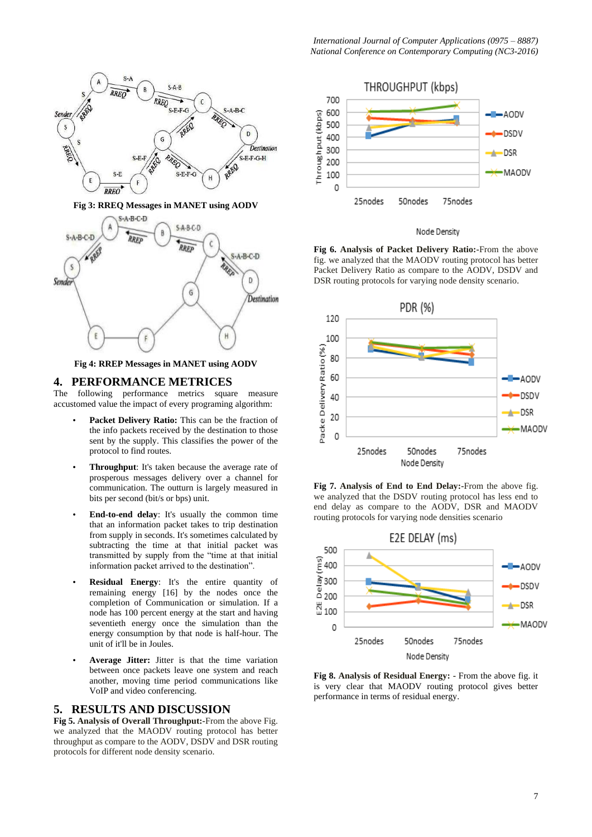

**Fig 3: RREQ Messages in MANET using AODV**



**Fig 4: RREP Messages in MANET using AODV**

## **4. PERFORMANCE METRICES**

The following performance metrics square measure accustomed value the impact of every programing algorithm:

- Packet Delivery Ratio: This can be the fraction of the info packets received by the destination to those sent by the supply. This classifies the power of the protocol to find routes.
- **Throughput**: It's taken because the average rate of prosperous messages delivery over a channel for communication. The outturn is largely measured in bits per second (bit/s or bps) unit.
- **End-to-end delay**: It's usually the common time that an information packet takes to trip destination from supply in seconds. It's sometimes calculated by subtracting the time at that initial packet was transmitted by supply from the "time at that initial information packet arrived to the destination".
- **Residual Energy**: It's the entire quantity of remaining energy [16] by the nodes once the completion of Communication or simulation. If a node has 100 percent energy at the start and having seventieth energy once the simulation than the energy consumption by that node is half-hour. The unit of it'll be in Joules.
- Average Jitter: Jitter is that the time variation between once packets leave one system and reach another, moving time period communications like VoIP and video conferencing.

## **5. RESULTS AND DISCUSSION**

**Fig 5. Analysis of Overall Throughput:-**From the above Fig. we analyzed that the MAODV routing protocol has better throughput as compare to the AODV, DSDV and DSR routing protocols for different node density scenario.



#### Node Density

**Fig 6. Analysis of Packet Delivery Ratio:-**From the above fig. we analyzed that the MAODV routing protocol has better Packet Delivery Ratio as compare to the AODV, DSDV and DSR routing protocols for varying node density scenario.



**Fig 7. Analysis of End to End Delay:-**From the above fig. we analyzed that the DSDV routing protocol has less end to end delay as compare to the AODV, DSR and MAODV routing protocols for varying node densities scenario



**Fig 8. Analysis of Residual Energy: -** From the above fig. it is very clear that MAODV routing protocol gives better performance in terms of residual energy.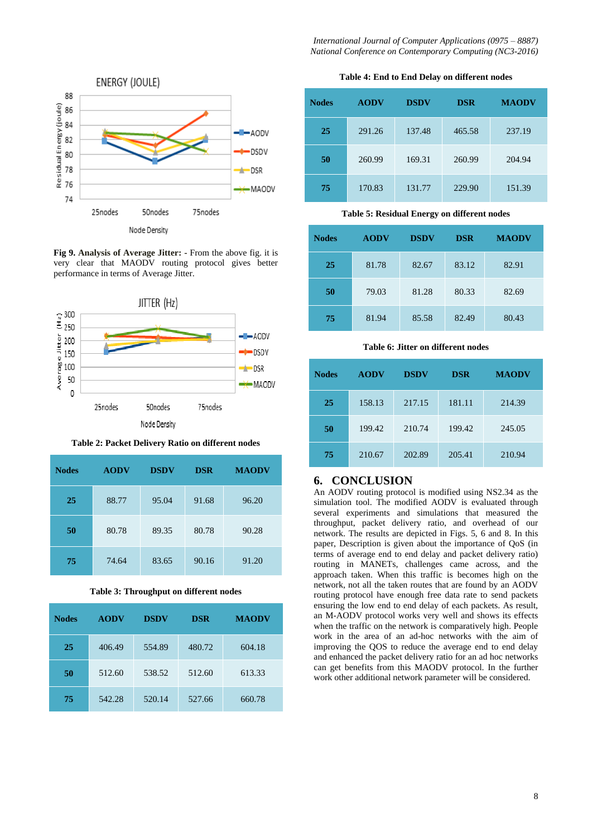*International Journal of Computer Applications (0975 – 8887) National Conference on Contemporary Computing (NC3-2016)* 



**Fig 9. Analysis of Average Jitter: -** From the above fig. it is very clear that MAODV routing protocol gives better performance in terms of Average Jitter.



**Table 2: Packet Delivery Ratio on different nodes**

| <b>Nodes</b> | <b>AODV</b> | <b>DSDV</b> | <b>DSR</b> | <b>MAODV</b> |
|--------------|-------------|-------------|------------|--------------|
| 25           | 88.77       | 95.04       | 91.68      | 96.20        |
| 50           | 80.78       | 89.35       | 80.78      | 90.28        |
| 75           | 74.64       | 83.65       | 90.16      | 91.20        |

**Table 3: Throughput on different nodes**

| <b>Nodes</b> | <b>AODV</b> | <b>DSDV</b> | <b>DSR</b> | <b>MAODV</b> |
|--------------|-------------|-------------|------------|--------------|
| 25           | 406.49      | 554.89      | 480.72     | 604.18       |
| 50           | 512.60      | 538.52      | 512.60     | 613.33       |
| 75           | 542.28      | 520.14      | 527.66     | 660.78       |

**Table 4: End to End Delay on different nodes**

| <b>Nodes</b> | <b>AODV</b> | <b>DSDV</b> | <b>DSR</b> | <b>MAODV</b> |
|--------------|-------------|-------------|------------|--------------|
| 25           | 291.26      | 137.48      | 465.58     | 237.19       |
| 50           | 260.99      | 169.31      | 260.99     | 204.94       |
| 75           | 170.83      | 131.77      | 229.90     | 151.39       |

## **Table 5: Residual Energy on different nodes**

| <b>Nodes</b> | <b>AODV</b> | <b>DSDV</b> | <b>DSR</b> | <b>MAODV</b> |
|--------------|-------------|-------------|------------|--------------|
| 25           | 81.78       | 82.67       | 83.12      | 82.91        |
| 50           | 79.03       | 81.28       | 80.33      | 82.69        |
| 75           | 81.94       | 85.58       | 82.49      | 80.43        |

## **Table 6: Jitter on different nodes**

| <b>Nodes</b> | <b>AODV</b> | <b>DSDV</b> | <b>DSR</b> | <b>MAODV</b> |
|--------------|-------------|-------------|------------|--------------|
| 25           | 158.13      | 217.15      | 181.11     | 214.39       |
| 50           | 199.42      | 210.74      | 199.42     | 245.05       |
| 75           | 210.67      | 202.89      | 205.41     | 210.94       |

# **6. CONCLUSION**

An AODV routing protocol is modified using NS2.34 as the simulation tool. The modified AODV is evaluated through several experiments and simulations that measured the throughput, packet delivery ratio, and overhead of our network. The results are depicted in Figs. 5, 6 and 8. In this paper, Description is given about the importance of QoS (in terms of average end to end delay and packet delivery ratio) routing in MANETs, challenges came across, and the approach taken. When this traffic is becomes high on the network, not all the taken routes that are found by an AODV routing protocol have enough free data rate to send packets ensuring the low end to end delay of each packets. As result, an M-AODV protocol works very well and shows its effects when the traffic on the network is comparatively high. People work in the area of an ad-hoc networks with the aim of improving the QOS to reduce the average end to end delay and enhanced the packet delivery ratio for an ad hoc networks can get benefits from this MAODV protocol. In the further work other additional network parameter will be considered.